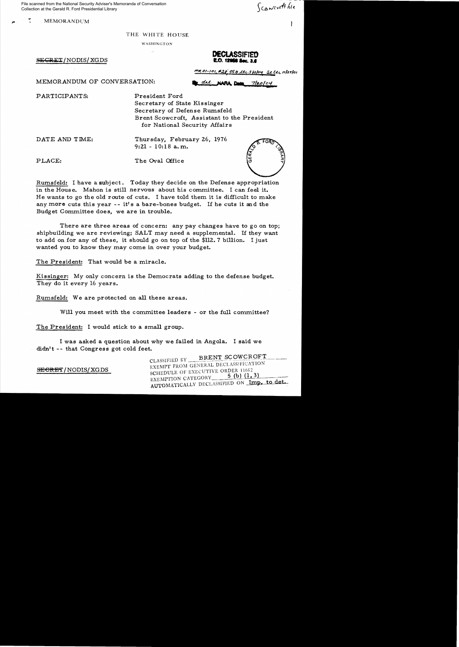File scanned from the National Security Adviser's Memoranda of Conversation Collection at the Gerald R. Ford Presidential Library

**MEMORANDUM** 

Scowerth file

THE WHITE HOUSE

WASHINGTON

 $SEERT/NODIS/ XGDS$ 

**DECLASSIFIED** 

 $\frac{m_1\sigma_1-n_1}{n_1}$  #28 050 1th 312104 St Ltr 1127101

MEMORANDUM OF CONVERSATION:  $\frac{d\mu}{d\mu}$   $\frac{d\mu}{d\mu}$  **NARA** Dec 7/20/04

PARTICIPANTS: President Ford

Secretary of State Kissinger Secretary of Defense Rwnsfeld Brent Scowcroft, Assistant to the President for National Security Affairs

DATE AND TIME: Thursday, February 26, 1976

9:21- 10:18 a.m.

PLACE: The Oval Office



Rumsfeld: I have a subject. Today they decide on the Defense appropriation in the House. Mahon is still nervous about his committee. I can feel it. He wants to go the old route of cuts. 1 have told them it is difficult to make any more cuts this year -- it's a bare-bones budget. If he cuts it and the Budget Committee does, we are in trouble.

There are three areas of concern: any pay changes have to go on top; shipbuilding we are reviewing; SALT may need a supplemental. If they want to add on for any of these, it should go on top of the \$112. 7 billion. 1 just wanted you to know they may come in over your budget.

The President: That would be a miracle.

Kissinger: My only concern is the Democrats adding to the defense budget. They do it every 16 years.

Rumsfeld: We are protected on all these areas.

Will you meet with the committee leaders - or the full committee?

The President: I would stick to a small group.

I was asked a question about why we failed in Angola. I said we didn't -- that Congress got cold feet.

CLASSIFIED BY BRENT SCOWCROFT EXEMPT FROM GENERAL DECLASSIFICATION EXEMPT FROM GENERAL DECLASSIFICATION SELECTIVE ORDER 11652 5 (b)  $(1, 3)$ SCHEDULE OF EXECUTIVE ORDER 11652<br>EXEMPTION CATEGORY 5 (b) (1, 3) EXEMPTION CATEGORY 5 (b) (1, 3)<br>AUTOMATICALLY DECLASSIFIED ON Imp. to det.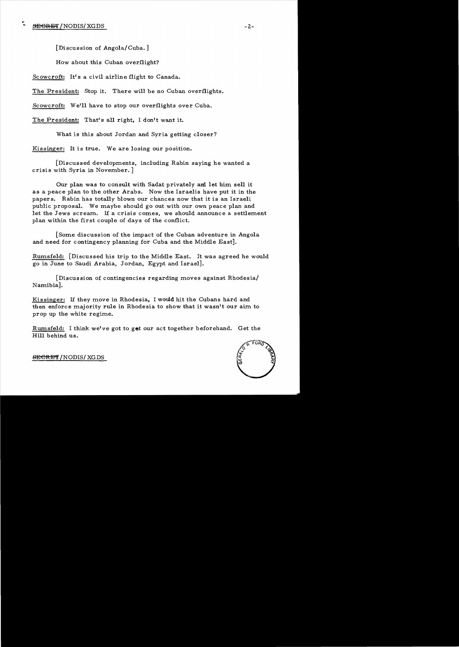[Discussion of Angola/Cuba.]

How about this Cuban overflight?

Scowcroft: It's a civil airline flight to Canada.

The President: Stop it. There will be no Cuban overflights.

Scowcroft: We'll have to stop our overflights over Cuba.

The President: That's all right, I don't want it.

What is this about Jordan and Syria getting closer?

Kissinger: It is true. We are losing our position.

[Discussed developments, including Rabin saying he wanted a crisis with Syria in November. ]

Our plan was to consult with Sadat privately and let him sell it as a peace plan to the other Arabs. Now the Israelis have put it in the papers. Rabin has totally blown our chances now that it is an Israeli public proposal. We maybe should go out with our own peace plan and let the Jews scream. If a crisis comes, we should announce a settlement plan within the first couple of days of the conflict.

[Some discussion of the impact of the Cuban adventure in Angola and need for contingency planning for Cuba and the Middle East].

Rumsfeld: [Discussed his trip to the Middle East. It was agreed he would go in June to Saudi Arabia, Jordan, Egypt and Israel].

[Discussion of contingencies regarding moves against Rhodesia/ Namibia].

Kissinger: If they move in Rhodesia, I would hit the Cubans hard and then enforce majority rule in Rhodesia to show that it wasn't our aim to prop up the white regime.

Rumsfeld: I think we've got to get our act together beforehand. Get the Hill behind us.



 $BEGREF/NODIS/XGDS$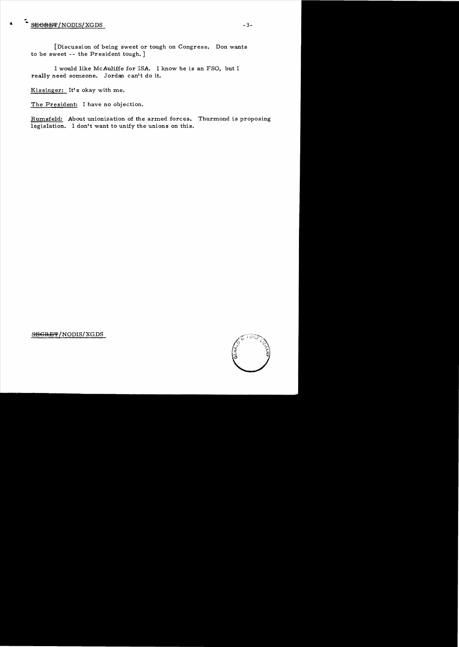## $\sim \frac{\text{SEGREFT}}{3}$

[Discussion of being sweet or tough on Congress. Don wants to be sweet -- the President tough. ]

I would like McAuliffe for ISA. I know he is an FSO, but I really need someone. Jordan canft do it.

Kissinger: It's okay with me.

The President: I have no objection.

Rumsfeld: About unionization of the armed forces. Thurmond is proposing legislation. I don't want to unify the unions on this.



SEGRET/NODIS/XGDS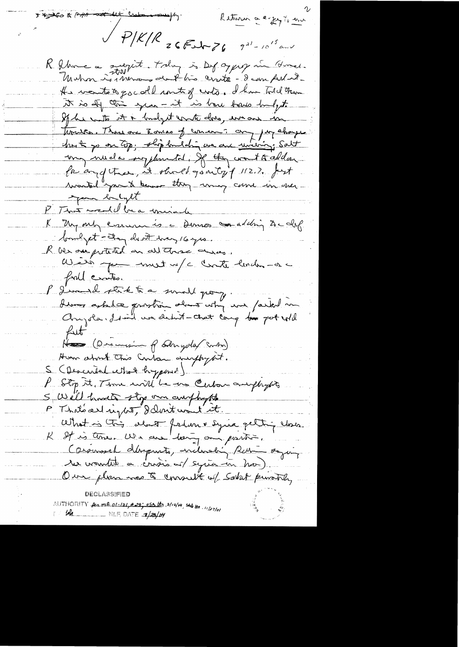I to to FAR and let calme my Return a explorer  $\sqrt{P/K/R}$  26 Feb 76  $9^{21} - 10^{15}$  and R Ahme a subject today is Depopper in Gones. Muhm is more du l'his crite - dan Aubut He wentstops coll untig unto. I have Told them it is obj this just it is bare bous hulyto If he wasts it in budget counter does, we are in tisures. There are Zonias of concern? any pay changes? host jo on top; ship bandaling we are university; Salt my nucle regionated, of they creat to addan faiand thee, it shoed good to 12.2. fort wonted you to know they may carre in one. your bulget P. That wedd be a minale K My only essuain is a Dennes condition de clip bondpet-thought her 16 year. R ver au prétend en autorise au com full crather P Jim de stikte a somell pour, derne askelæ prostre almos utry me /arkel m Anyola, I will we dedn't - that cannot be pot will fut Has (Descension of Edmysolar Somton) Home about this Cuban anophypt. S (Described what hypoxed) P Stop it, Time will be an Certain anythypts S We'll hardto stop om anybusth P That's all right, delmit wont it. What is this club ferture syria pettin close Caromosel derprents, including Ren = saying le voutre a crois es syria en ha) Our plan não à consult of Saket puntoa, AUTHORITY  $\beta$  ml  $ol-101$ ,  $\neq$  29;  $050$ ,  $t\tau$ ,  $3/12/14$ ,  $5t\tau$ ,  $t\tau$ ,  $1/27/10$ 14 LAM RILE, DATE 1/29/04